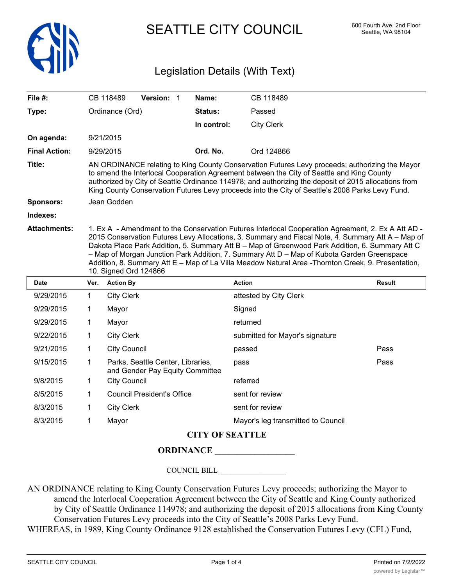

SEATTLE CITY COUNCIL 600 Fourth Ave. 2nd Floor

## Legislation Details (With Text)

| File $#$ :           | CB 118489                                                                                                                                                                                                                                                                                                                                                                                                                                                                                                                                | <b>Version:</b><br>-1 | Name:          | CB 118489         |  |
|----------------------|------------------------------------------------------------------------------------------------------------------------------------------------------------------------------------------------------------------------------------------------------------------------------------------------------------------------------------------------------------------------------------------------------------------------------------------------------------------------------------------------------------------------------------------|-----------------------|----------------|-------------------|--|
| Type:                | Ordinance (Ord)                                                                                                                                                                                                                                                                                                                                                                                                                                                                                                                          |                       | <b>Status:</b> | Passed            |  |
|                      |                                                                                                                                                                                                                                                                                                                                                                                                                                                                                                                                          |                       | In control:    | <b>City Clerk</b> |  |
| On agenda:           | 9/21/2015                                                                                                                                                                                                                                                                                                                                                                                                                                                                                                                                |                       |                |                   |  |
| <b>Final Action:</b> | 9/29/2015                                                                                                                                                                                                                                                                                                                                                                                                                                                                                                                                |                       | Ord. No.       | Ord 124866        |  |
| Title:               | AN ORDINANCE relating to King County Conservation Futures Levy proceeds; authorizing the Mayor<br>to amend the Interlocal Cooperation Agreement between the City of Seattle and King County<br>authorized by City of Seattle Ordinance 114978; and authorizing the deposit of 2015 allocations from<br>King County Conservation Futures Levy proceeds into the City of Seattle's 2008 Parks Levy Fund.                                                                                                                                   |                       |                |                   |  |
| <b>Sponsors:</b>     | Jean Godden                                                                                                                                                                                                                                                                                                                                                                                                                                                                                                                              |                       |                |                   |  |
| Indexes:             |                                                                                                                                                                                                                                                                                                                                                                                                                                                                                                                                          |                       |                |                   |  |
| <b>Attachments:</b>  | 1. Ex A - Amendment to the Conservation Futures Interlocal Cooperation Agreement, 2. Ex A Att AD -<br>2015 Conservation Futures Levy Allocations, 3. Summary and Fiscal Note, 4. Summary Att A - Map of<br>Dakota Place Park Addition, 5. Summary Att B - Map of Greenwood Park Addition, 6. Summary Att C<br>- Map of Morgan Junction Park Addition, 7. Summary Att D - Map of Kubota Garden Greenspace<br>Addition, 8. Summary Att E - Map of La Villa Meadow Natural Area - Thornton Creek, 9. Presentation,<br>10. Signed Ord 124866 |                       |                |                   |  |

| Date      | Ver. | <b>Action By</b>                                                     | <b>Action</b>                      | <b>Result</b> |
|-----------|------|----------------------------------------------------------------------|------------------------------------|---------------|
| 9/29/2015 | 1    | <b>City Clerk</b>                                                    | attested by City Clerk             |               |
| 9/29/2015 | 1    | Mayor                                                                | Signed                             |               |
| 9/29/2015 | 1    | Mayor                                                                | returned                           |               |
| 9/22/2015 | 1    | <b>City Clerk</b>                                                    | submitted for Mayor's signature    |               |
| 9/21/2015 | 1    | <b>City Council</b>                                                  | passed                             | Pass          |
| 9/15/2015 | 1    | Parks, Seattle Center, Libraries,<br>and Gender Pay Equity Committee | pass                               | Pass          |
| 9/8/2015  | 1    | <b>City Council</b>                                                  | referred                           |               |
| 8/5/2015  |      | <b>Council President's Office</b>                                    | sent for review                    |               |
| 8/3/2015  | 1    | <b>City Clerk</b>                                                    | sent for review                    |               |
| 8/3/2015  |      | Mayor                                                                | Mayor's leg transmitted to Council |               |

## **CITY OF SEATTLE**

**ORDINANCE \_\_\_\_\_\_\_\_\_\_\_\_\_\_\_\_\_\_**

COUNCIL BILL \_\_\_\_\_\_\_\_\_\_\_\_\_\_\_\_\_\_

AN ORDINANCE relating to King County Conservation Futures Levy proceeds; authorizing the Mayor to amend the Interlocal Cooperation Agreement between the City of Seattle and King County authorized by City of Seattle Ordinance 114978; and authorizing the deposit of 2015 allocations from King County Conservation Futures Levy proceeds into the City of Seattle's 2008 Parks Levy Fund. WHEREAS, in 1989, King County Ordinance 9128 established the Conservation Futures Levy (CFL) Fund,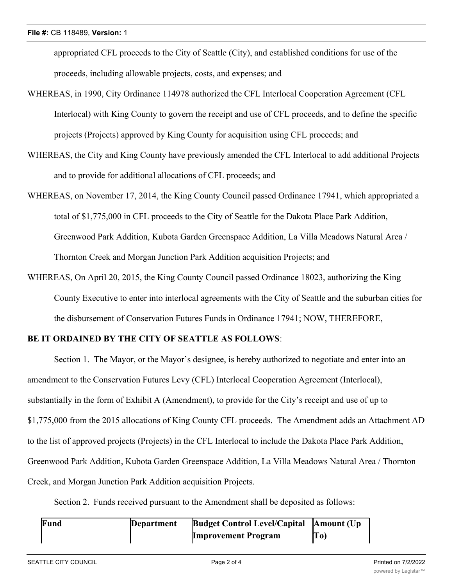appropriated CFL proceeds to the City of Seattle (City), and established conditions for use of the proceeds, including allowable projects, costs, and expenses; and

- WHEREAS, in 1990, City Ordinance 114978 authorized the CFL Interlocal Cooperation Agreement (CFL Interlocal) with King County to govern the receipt and use of CFL proceeds, and to define the specific projects (Projects) approved by King County for acquisition using CFL proceeds; and
- WHEREAS, the City and King County have previously amended the CFL Interlocal to add additional Projects and to provide for additional allocations of CFL proceeds; and
- WHEREAS, on November 17, 2014, the King County Council passed Ordinance 17941, which appropriated a total of \$1,775,000 in CFL proceeds to the City of Seattle for the Dakota Place Park Addition, Greenwood Park Addition, Kubota Garden Greenspace Addition, La Villa Meadows Natural Area / Thornton Creek and Morgan Junction Park Addition acquisition Projects; and
- WHEREAS, On April 20, 2015, the King County Council passed Ordinance 18023, authorizing the King County Executive to enter into interlocal agreements with the City of Seattle and the suburban cities for the disbursement of Conservation Futures Funds in Ordinance 17941; NOW, THEREFORE,

## **BE IT ORDAINED BY THE CITY OF SEATTLE AS FOLLOWS**:

Section 1. The Mayor, or the Mayor's designee, is hereby authorized to negotiate and enter into an amendment to the Conservation Futures Levy (CFL) Interlocal Cooperation Agreement (Interlocal), substantially in the form of Exhibit A (Amendment), to provide for the City's receipt and use of up to \$1,775,000 from the 2015 allocations of King County CFL proceeds. The Amendment adds an Attachment AD to the list of approved projects (Projects) in the CFL Interlocal to include the Dakota Place Park Addition, Greenwood Park Addition, Kubota Garden Greenspace Addition, La Villa Meadows Natural Area / Thornton Creek, and Morgan Junction Park Addition acquisition Projects.

Section 2. Funds received pursuant to the Amendment shall be deposited as follows:

| Fund | Department | <b>Budget Control Level/Capital</b> | Amount (Up |
|------|------------|-------------------------------------|------------|
|      |            | <b>Improvement Program</b>          | To)        |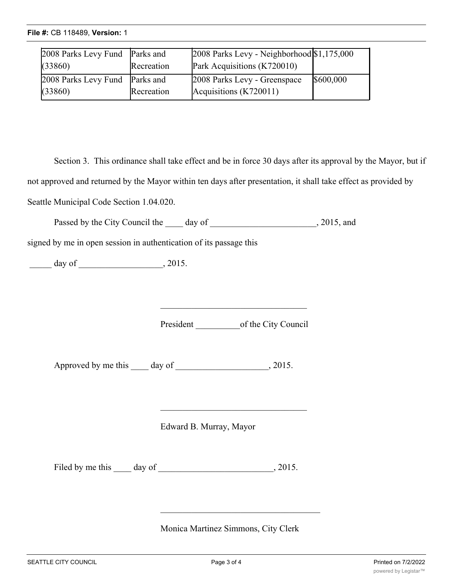| 2008 Parks Levy Fund Parks and<br>(33860) | Recreation | 2008 Parks Levy - Neighborhood \$1,175,000<br>Park Acquisitions (K720010) |           |
|-------------------------------------------|------------|---------------------------------------------------------------------------|-----------|
| 2008 Parks Levy Fund Parks and<br>(33860) | Recreation | 2008 Parks Levy - Greenspace<br>Acquisitions (K720011)                    | \$600,000 |

Section 3. This ordinance shall take effect and be in force 30 days after its approval by the Mayor, but if not approved and returned by the Mayor within ten days after presentation, it shall take effect as provided by Seattle Municipal Code Section 1.04.020.

**Improvement Program**

**Amount (Up**

**To)**

Passed by the City Council the day of 3015, and

signed by me in open session in authentication of its passage this

 $\frac{1}{2015}$  day of  $\frac{1}{2015}$ 

President of the City Council

Approved by me this \_\_\_\_ day of \_\_\_\_\_\_\_\_\_\_\_\_\_\_\_\_\_\_, 2015.

Edward B. Murray, Mayor

Filed by me this day of , 2015.

Monica Martinez Simmons, City Clerk